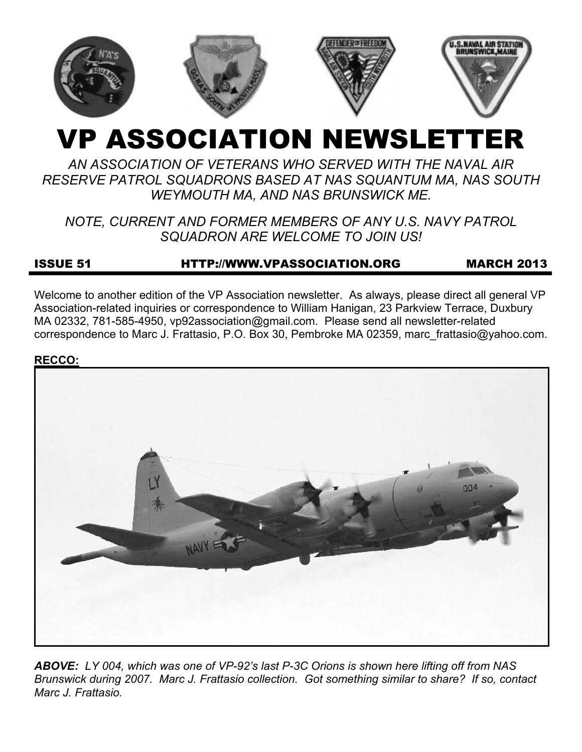

# VP ASSOCIATION NEWSLETTER

# *AN ASSOCIATION OF VETERANS WHO SERVED WITH THE NAVAL AIR RESERVE PATROL SQUADRONS BASED AT NAS SQUANTUM MA, NAS SOUTH WEYMOUTH MA, AND NAS BRUNSWICK ME.*

# *NOTE, CURRENT AND FORMER MEMBERS OF ANY U.S. NAVY PATROL SQUADRON ARE WELCOME TO JOIN US!*

# ISSUE 51 HTTP://WWW.VPASSOCIATION.ORG MARCH 2013

Welcome to another edition of the VP Association newsletter. As always, please direct all general VP Association-related inquiries or correspondence to William Hanigan, 23 Parkview Terrace, Duxbury MA 02332, 781-585-4950, vp92association@gmail.com. Please send all newsletter-related correspondence to Marc J. Frattasio, P.O. Box 30, Pembroke MA 02359, marc\_frattasio@yahoo.com.

#### **RECCO:**



*ABOVE: LY 004, which was one of VP-92's last P-3C Orions is shown here lifting off from NAS Brunswick during 2007. Marc J. Frattasio collection. Got something similar to share? If so, contact Marc J. Frattasio.*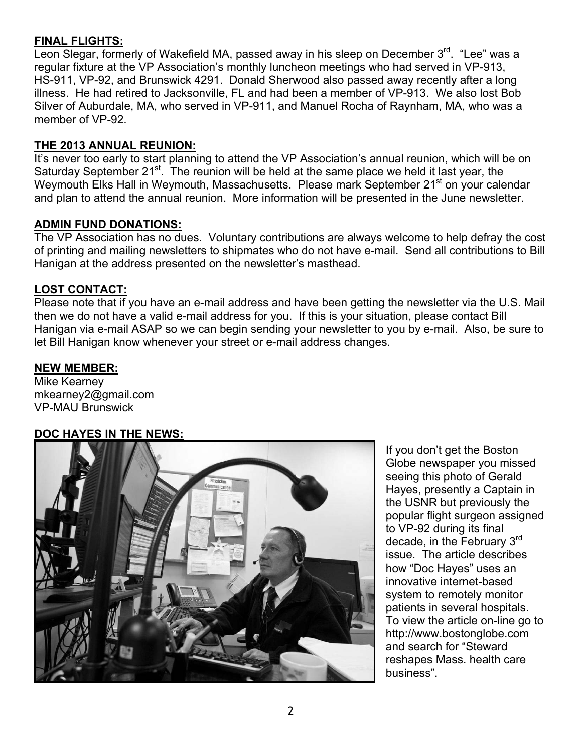#### **FINAL FLIGHTS:**

Leon Slegar, formerly of Wakefield MA, passed away in his sleep on December 3<sup>rd</sup>. "Lee" was a regular fixture at the VP Association's monthly luncheon meetings who had served in VP-913, HS-911, VP-92, and Brunswick 4291. Donald Sherwood also passed away recently after a long illness. He had retired to Jacksonville, FL and had been a member of VP-913. We also lost Bob Silver of Auburdale, MA, who served in VP-911, and Manuel Rocha of Raynham, MA, who was a member of VP-92.

#### **THE 2013 ANNUAL REUNION:**

It's never too early to start planning to attend the VP Association's annual reunion, which will be on Saturday September 21<sup>st</sup>. The reunion will be held at the same place we held it last year, the Weymouth Elks Hall in Weymouth, Massachusetts. Please mark September 21<sup>st</sup> on your calendar and plan to attend the annual reunion. More information will be presented in the June newsletter.

#### **ADMIN FUND DONATIONS:**

The VP Association has no dues. Voluntary contributions are always welcome to help defray the cost of printing and mailing newsletters to shipmates who do not have e-mail. Send all contributions to Bill Hanigan at the address presented on the newsletter's masthead.

#### **LOST CONTACT:**

Please note that if you have an e-mail address and have been getting the newsletter via the U.S. Mail then we do not have a valid e-mail address for you. If this is your situation, please contact Bill Hanigan via e-mail ASAP so we can begin sending your newsletter to you by e-mail. Also, be sure to let Bill Hanigan know whenever your street or e-mail address changes.

#### **NEW MEMBER:**

Mike Kearney mkearney2@gmail.com VP-MAU Brunswick

### **DOC HAYES IN THE NEWS:**



If you don't get the Boston Globe newspaper you missed seeing this photo of Gerald Hayes, presently a Captain in the USNR but previously the popular flight surgeon assigned to VP-92 during its final decade, in the February 3rd issue. The article describes how "Doc Hayes" uses an innovative internet-based system to remotely monitor patients in several hospitals. To view the article on-line go to http://www.bostonglobe.com and search for "Steward reshapes Mass. health care business".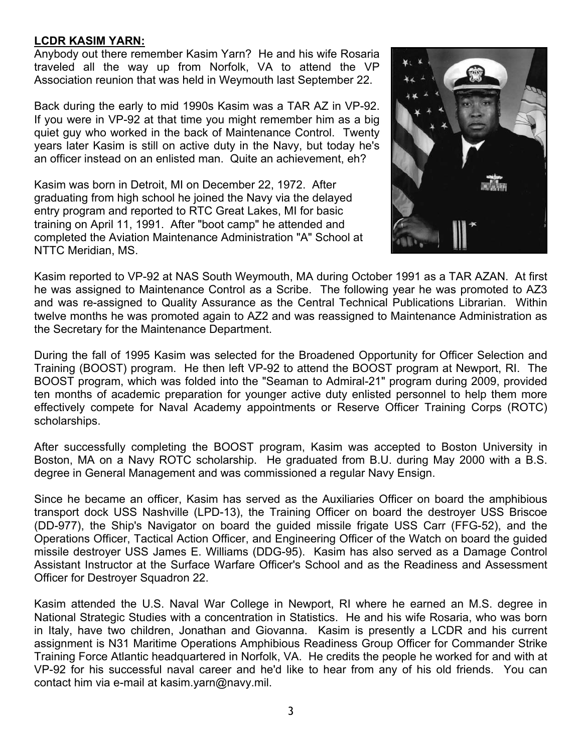#### **LCDR KASIM YARN:**

Anybody out there remember Kasim Yarn? He and his wife Rosaria traveled all the way up from Norfolk, VA to attend the VP Association reunion that was held in Weymouth last September 22.

Back during the early to mid 1990s Kasim was a TAR AZ in VP-92. If you were in VP-92 at that time you might remember him as a big quiet guy who worked in the back of Maintenance Control. Twenty years later Kasim is still on active duty in the Navy, but today he's an officer instead on an enlisted man. Quite an achievement, eh?

Kasim was born in Detroit, MI on December 22, 1972. After graduating from high school he joined the Navy via the delayed entry program and reported to RTC Great Lakes, MI for basic training on April 11, 1991. After "boot camp" he attended and completed the Aviation Maintenance Administration "A" School at NTTC Meridian, MS.



Kasim reported to VP-92 at NAS South Weymouth, MA during October 1991 as a TAR AZAN. At first he was assigned to Maintenance Control as a Scribe. The following year he was promoted to AZ3 and was re-assigned to Quality Assurance as the Central Technical Publications Librarian. Within twelve months he was promoted again to AZ2 and was reassigned to Maintenance Administration as the Secretary for the Maintenance Department.

During the fall of 1995 Kasim was selected for the Broadened Opportunity for Officer Selection and Training (BOOST) program. He then left VP-92 to attend the BOOST program at Newport, RI. The BOOST program, which was folded into the "Seaman to Admiral-21" program during 2009, provided ten months of academic preparation for younger active duty enlisted personnel to help them more effectively compete for Naval Academy appointments or Reserve Officer Training Corps (ROTC) scholarships.

After successfully completing the BOOST program, Kasim was accepted to Boston University in Boston, MA on a Navy ROTC scholarship. He graduated from B.U. during May 2000 with a B.S. degree in General Management and was commissioned a regular Navy Ensign.

Since he became an officer, Kasim has served as the Auxiliaries Officer on board the amphibious transport dock USS Nashville (LPD-13), the Training Officer on board the destroyer USS Briscoe (DD-977), the Ship's Navigator on board the guided missile frigate USS Carr (FFG-52), and the Operations Officer, Tactical Action Officer, and Engineering Officer of the Watch on board the guided missile destroyer USS James E. Williams (DDG-95). Kasim has also served as a Damage Control Assistant Instructor at the Surface Warfare Officer's School and as the Readiness and Assessment Officer for Destroyer Squadron 22.

Kasim attended the U.S. Naval War College in Newport, RI where he earned an M.S. degree in National Strategic Studies with a concentration in Statistics. He and his wife Rosaria, who was born in Italy, have two children, Jonathan and Giovanna. Kasim is presently a LCDR and his current assignment is N31 Maritime Operations Amphibious Readiness Group Officer for Commander Strike Training Force Atlantic headquartered in Norfolk, VA. He credits the people he worked for and with at VP-92 for his successful naval career and he'd like to hear from any of his old friends. You can contact him via e-mail at kasim.yarn@navy.mil.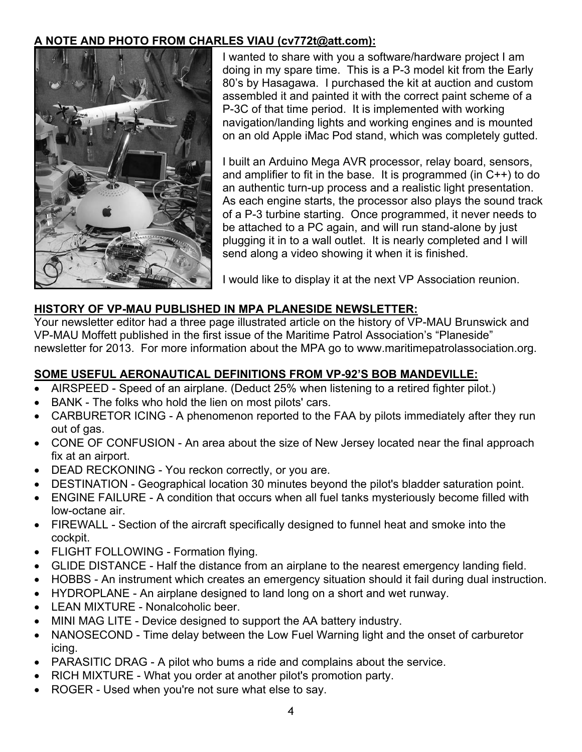#### **A NOTE AND PHOTO FROM CHARLES VIAU (cv772t@att.com):**



I wanted to share with you a software/hardware project I am doing in my spare time. This is a P-3 model kit from the Early 80's by Hasagawa. I purchased the kit at auction and custom assembled it and painted it with the correct paint scheme of a P-3C of that time period. It is implemented with working navigation/landing lights and working engines and is mounted on an old Apple iMac Pod stand, which was completely gutted.

I built an Arduino Mega AVR processor, relay board, sensors, and amplifier to fit in the base. It is programmed (in  $C++$ ) to do an authentic turn-up process and a realistic light presentation. As each engine starts, the processor also plays the sound track of a P-3 turbine starting. Once programmed, it never needs to be attached to a PC again, and will run stand-alone by just plugging it in to a wall outlet. It is nearly completed and I will send along a video showing it when it is finished.

I would like to display it at the next VP Association reunion.

#### **HISTORY OF VP-MAU PUBLISHED IN MPA PLANESIDE NEWSLETTER:**

Your newsletter editor had a three page illustrated article on the history of VP-MAU Brunswick and VP-MAU Moffett published in the first issue of the Maritime Patrol Association's "Planeside" newsletter for 2013. For more information about the MPA go to www.maritimepatrolassociation.org.

### **SOME USEFUL AERONAUTICAL DEFINITIONS FROM VP-92'S BOB MANDEVILLE:**

- AIRSPEED Speed of an airplane. (Deduct 25% when listening to a retired fighter pilot.)
- BANK The folks who hold the lien on most pilots' cars.
- CARBURETOR ICING A phenomenon reported to the FAA by pilots immediately after they run out of gas.
- CONE OF CONFUSION An area about the size of New Jersey located near the final approach fix at an airport.
- DEAD RECKONING You reckon correctly, or you are.
- DESTINATION Geographical location 30 minutes beyond the pilot's bladder saturation point.
- ENGINE FAILURE A condition that occurs when all fuel tanks mysteriously become filled with low-octane air.
- FIREWALL Section of the aircraft specifically designed to funnel heat and smoke into the cockpit.
- FLIGHT FOLLOWING Formation flying.
- GLIDE DISTANCE Half the distance from an airplane to the nearest emergency landing field.
- HOBBS An instrument which creates an emergency situation should it fail during dual instruction.
- HYDROPLANE An airplane designed to land long on a short and wet runway.
- LEAN MIXTURE Nonalcoholic beer.
- MINI MAG LITE Device designed to support the AA battery industry.
- NANOSECOND Time delay between the Low Fuel Warning light and the onset of carburetor icing.
- PARASITIC DRAG A pilot who bums a ride and complains about the service.
- RICH MIXTURE What you order at another pilot's promotion party.
- ROGER Used when you're not sure what else to say.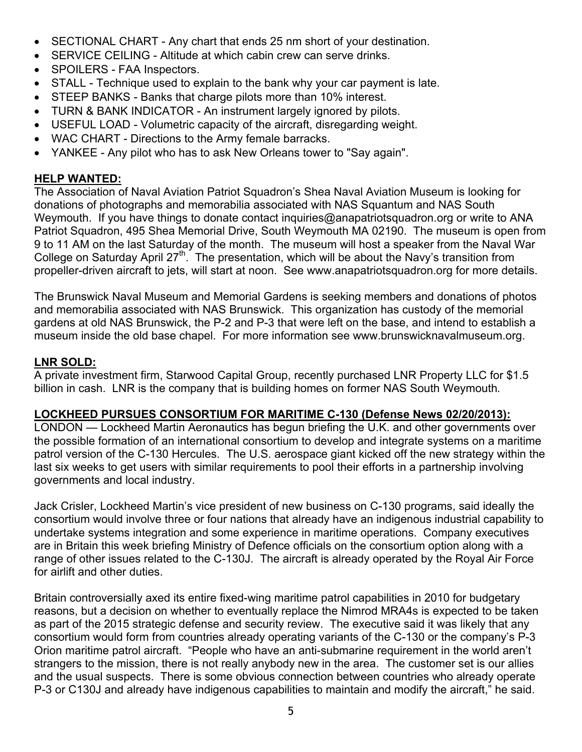- SECTIONAL CHART Any chart that ends 25 nm short of your destination.
- SERVICE CEILING Altitude at which cabin crew can serve drinks.
- SPOILERS FAA Inspectors.
- STALL Technique used to explain to the bank why your car payment is late.
- STEEP BANKS Banks that charge pilots more than 10% interest.
- TURN & BANK INDICATOR An instrument largely ignored by pilots.
- USEFUL LOAD Volumetric capacity of the aircraft, disregarding weight.
- WAC CHART Directions to the Army female barracks.
- YANKEE Any pilot who has to ask New Orleans tower to "Say again".

#### **HELP WANTED:**

The Association of Naval Aviation Patriot Squadron's Shea Naval Aviation Museum is looking for donations of photographs and memorabilia associated with NAS Squantum and NAS South Weymouth. If you have things to donate contact inquiries@anapatriotsquadron.org or write to ANA Patriot Squadron, 495 Shea Memorial Drive, South Weymouth MA 02190. The museum is open from 9 to 11 AM on the last Saturday of the month. The museum will host a speaker from the Naval War College on Saturday April  $27<sup>th</sup>$ . The presentation, which will be about the Navy's transition from propeller-driven aircraft to jets, will start at noon. See www.anapatriotsquadron.org for more details.

The Brunswick Naval Museum and Memorial Gardens is seeking members and donations of photos and memorabilia associated with NAS Brunswick. This organization has custody of the memorial gardens at old NAS Brunswick, the P-2 and P-3 that were left on the base, and intend to establish a museum inside the old base chapel. For more information see www.brunswicknavalmuseum.org.

#### **LNR SOLD:**

A private investment firm, Starwood Capital Group, recently purchased LNR Property LLC for \$1.5 billion in cash. LNR is the company that is building homes on former NAS South Weymouth*.* 

#### **LOCKHEED PURSUES CONSORTIUM FOR MARITIME C-130 (Defense News 02/20/2013):**

LONDON — Lockheed Martin Aeronautics has begun briefing the U.K. and other governments over the possible formation of an international consortium to develop and integrate systems on a maritime patrol version of the C-130 Hercules. The U.S. aerospace giant kicked off the new strategy within the last six weeks to get users with similar requirements to pool their efforts in a partnership involving governments and local industry.

Jack Crisler, Lockheed Martin's vice president of new business on C-130 programs, said ideally the consortium would involve three or four nations that already have an indigenous industrial capability to undertake systems integration and some experience in maritime operations. Company executives are in Britain this week briefing Ministry of Defence officials on the consortium option along with a range of other issues related to the C-130J. The aircraft is already operated by the Royal Air Force for airlift and other duties.

Britain controversially axed its entire fixed-wing maritime patrol capabilities in 2010 for budgetary reasons, but a decision on whether to eventually replace the Nimrod MRA4s is expected to be taken as part of the 2015 strategic defense and security review. The executive said it was likely that any consortium would form from countries already operating variants of the C-130 or the company's P-3 Orion maritime patrol aircraft. "People who have an anti-submarine requirement in the world aren't strangers to the mission, there is not really anybody new in the area. The customer set is our allies and the usual suspects. There is some obvious connection between countries who already operate P-3 or C130J and already have indigenous capabilities to maintain and modify the aircraft," he said.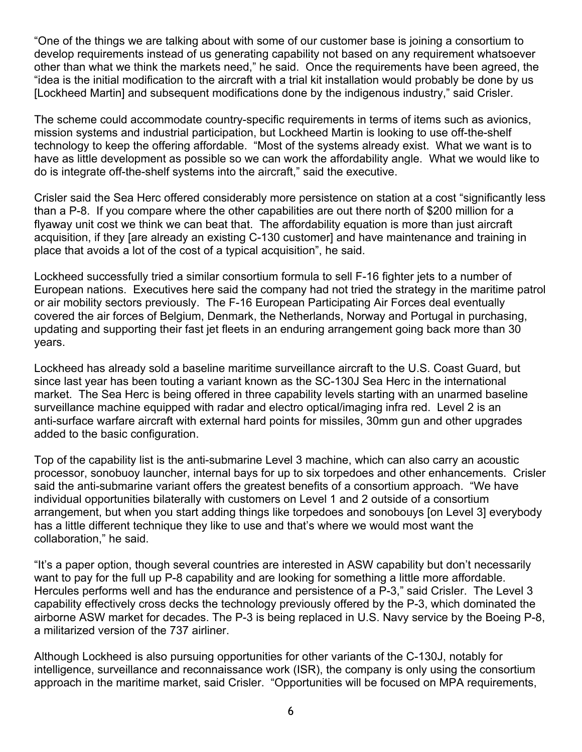"One of the things we are talking about with some of our customer base is joining a consortium to develop requirements instead of us generating capability not based on any requirement whatsoever other than what we think the markets need," he said. Once the requirements have been agreed, the "idea is the initial modification to the aircraft with a trial kit installation would probably be done by us [Lockheed Martin] and subsequent modifications done by the indigenous industry," said Crisler.

The scheme could accommodate country-specific requirements in terms of items such as avionics, mission systems and industrial participation, but Lockheed Martin is looking to use off-the-shelf technology to keep the offering affordable. "Most of the systems already exist. What we want is to have as little development as possible so we can work the affordability angle. What we would like to do is integrate off-the-shelf systems into the aircraft," said the executive.

Crisler said the Sea Herc offered considerably more persistence on station at a cost "significantly less than a P-8. If you compare where the other capabilities are out there north of \$200 million for a flyaway unit cost we think we can beat that. The affordability equation is more than just aircraft acquisition, if they [are already an existing C-130 customer] and have maintenance and training in place that avoids a lot of the cost of a typical acquisition", he said.

Lockheed successfully tried a similar consortium formula to sell F-16 fighter jets to a number of European nations. Executives here said the company had not tried the strategy in the maritime patrol or air mobility sectors previously. The F-16 European Participating Air Forces deal eventually covered the air forces of Belgium, Denmark, the Netherlands, Norway and Portugal in purchasing, updating and supporting their fast jet fleets in an enduring arrangement going back more than 30 years.

Lockheed has already sold a baseline maritime surveillance aircraft to the U.S. Coast Guard, but since last year has been touting a variant known as the SC-130J Sea Herc in the international market. The Sea Herc is being offered in three capability levels starting with an unarmed baseline surveillance machine equipped with radar and electro optical/imaging infra red. Level 2 is an anti-surface warfare aircraft with external hard points for missiles, 30mm gun and other upgrades added to the basic configuration.

Top of the capability list is the anti-submarine Level 3 machine, which can also carry an acoustic processor, sonobuoy launcher, internal bays for up to six torpedoes and other enhancements. Crisler said the anti-submarine variant offers the greatest benefits of a consortium approach. "We have individual opportunities bilaterally with customers on Level 1 and 2 outside of a consortium arrangement, but when you start adding things like torpedoes and sonobouys [on Level 3] everybody has a little different technique they like to use and that's where we would most want the collaboration," he said.

"It's a paper option, though several countries are interested in ASW capability but don't necessarily want to pay for the full up P-8 capability and are looking for something a little more affordable. Hercules performs well and has the endurance and persistence of a P-3," said Crisler. The Level 3 capability effectively cross decks the technology previously offered by the P-3, which dominated the airborne ASW market for decades. The P-3 is being replaced in U.S. Navy service by the Boeing P-8, a militarized version of the 737 airliner.

Although Lockheed is also pursuing opportunities for other variants of the C-130J, notably for intelligence, surveillance and reconnaissance work (ISR), the company is only using the consortium approach in the maritime market, said Crisler. "Opportunities will be focused on MPA requirements,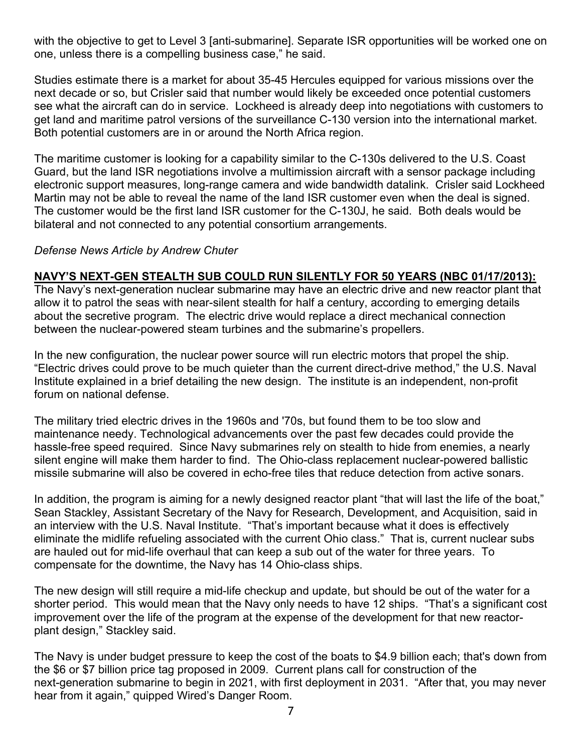with the objective to get to Level 3 [anti-submarine]. Separate ISR opportunities will be worked one on one, unless there is a compelling business case," he said.

Studies estimate there is a market for about 35-45 Hercules equipped for various missions over the next decade or so, but Crisler said that number would likely be exceeded once potential customers see what the aircraft can do in service. Lockheed is already deep into negotiations with customers to get land and maritime patrol versions of the surveillance C-130 version into the international market. Both potential customers are in or around the North Africa region.

The maritime customer is looking for a capability similar to the C-130s delivered to the U.S. Coast Guard, but the land ISR negotiations involve a multimission aircraft with a sensor package including electronic support measures, long-range camera and wide bandwidth datalink. Crisler said Lockheed Martin may not be able to reveal the name of the land ISR customer even when the deal is signed. The customer would be the first land ISR customer for the C-130J, he said. Both deals would be bilateral and not connected to any potential consortium arrangements.

#### *Defense News Article by Andrew Chuter*

#### **NAVY'S NEXT-GEN STEALTH SUB COULD RUN SILENTLY FOR 50 YEARS (NBC 01/17/2013):**

The Navy's next-generation nuclear submarine may have an electric drive and new reactor plant that allow it to patrol the seas with near-silent stealth for half a century, according to emerging details about the secretive program. The electric drive would replace a direct mechanical connection between the nuclear-powered steam turbines and the submarine's propellers.

In the new configuration, the nuclear power source will run electric motors that propel the ship. "Electric drives could prove to be much quieter than the current direct-drive method," the U.S. Naval Institute explained in a brief detailing the new design. The institute is an independent, non-profit forum on national defense.

The military tried electric drives in the 1960s and '70s, but found them to be too slow and maintenance needy. Technological advancements over the past few decades could provide the hassle-free speed required. Since Navy submarines rely on stealth to hide from enemies, a nearly silent engine will make them harder to find. The Ohio-class replacement nuclear-powered ballistic missile submarine will also be covered in echo-free tiles that reduce detection from active sonars.

In addition, the program is aiming for a newly designed reactor plant "that will last the life of the boat," Sean Stackley, Assistant Secretary of the Navy for Research, Development, and Acquisition, said in an interview with the U.S. Naval Institute. "That's important because what it does is effectively eliminate the midlife refueling associated with the current Ohio class." That is, current nuclear subs are hauled out for mid-life overhaul that can keep a sub out of the water for three years. To compensate for the downtime, the Navy has 14 Ohio-class ships.

The new design will still require a mid-life checkup and update, but should be out of the water for a shorter period. This would mean that the Navy only needs to have 12 ships. "That's a significant cost improvement over the life of the program at the expense of the development for that new reactorplant design," Stackley said.

The Navy is under budget pressure to keep the cost of the boats to \$4.9 billion each; that's down from the \$6 or \$7 billion price tag proposed in 2009. Current plans call for construction of the next-generation submarine to begin in 2021, with first deployment in 2031. "After that, you may never hear from it again," quipped Wired's Danger Room.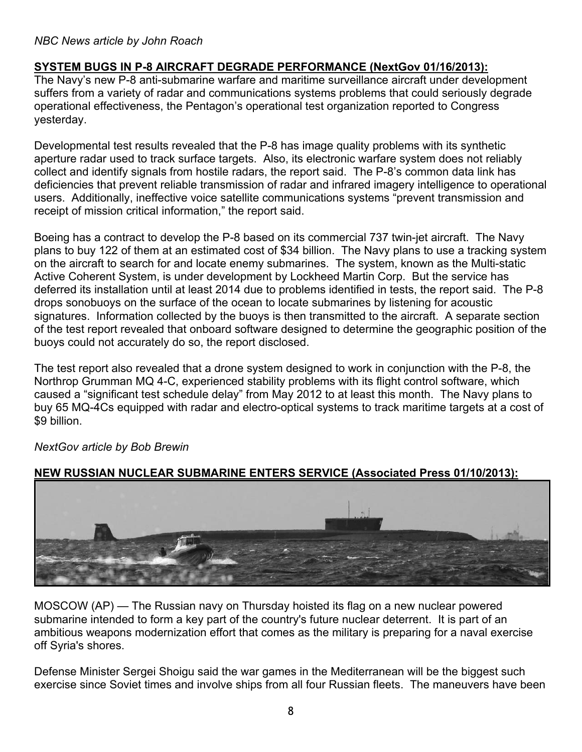#### *NBC News article by John Roach*

#### **SYSTEM BUGS IN P-8 AIRCRAFT DEGRADE PERFORMANCE (NextGov 01/16/2013):**

The Navy's new P-8 anti-submarine warfare and maritime surveillance aircraft under development suffers from a variety of radar and communications systems problems that could seriously degrade operational effectiveness, the Pentagon's operational test organization reported to Congress yesterday.

Developmental test results revealed that the P-8 has image quality problems with its synthetic aperture radar used to track surface targets. Also, its electronic warfare system does not reliably collect and identify signals from hostile radars, the report said. The P-8's common data link has deficiencies that prevent reliable transmission of radar and infrared imagery intelligence to operational users. Additionally, ineffective voice satellite communications systems "prevent transmission and receipt of mission critical information," the report said.

Boeing has a contract to develop the P-8 based on its commercial 737 twin-jet aircraft. The Navy plans to buy 122 of them at an estimated cost of \$34 billion. The Navy plans to use a tracking system on the aircraft to search for and locate enemy submarines. The system, known as the Multi-static Active Coherent System, is under development by Lockheed Martin Corp. But the service has deferred its installation until at least 2014 due to problems identified in tests, the report said. The P-8 drops sonobuoys on the surface of the ocean to locate submarines by listening for acoustic signatures. Information collected by the buoys is then transmitted to the aircraft. A separate section of the test report revealed that onboard software designed to determine the geographic position of the buoys could not accurately do so, the report disclosed.

The test report also revealed that a drone system designed to work in conjunction with the P-8, the Northrop Grumman MQ 4-C, experienced stability problems with its flight control software, which caused a "significant test schedule delay" from May 2012 to at least this month. The Navy plans to buy 65 MQ-4Cs equipped with radar and electro-optical systems to track maritime targets at a cost of \$9 billion.



*NextGov article by Bob Brewin* 

#### **NEW RUSSIAN NUCLEAR SUBMARINE ENTERS SERVICE (Associated Press 01/10/2013):**

MOSCOW (AP) — The Russian navy on Thursday hoisted its flag on a new nuclear powered submarine intended to form a key part of the country's future nuclear deterrent. It is part of an ambitious weapons modernization effort that comes as the military is preparing for a naval exercise off Syria's shores.

Defense Minister Sergei Shoigu said the war games in the Mediterranean will be the biggest such exercise since Soviet times and involve ships from all four Russian fleets. The maneuvers have been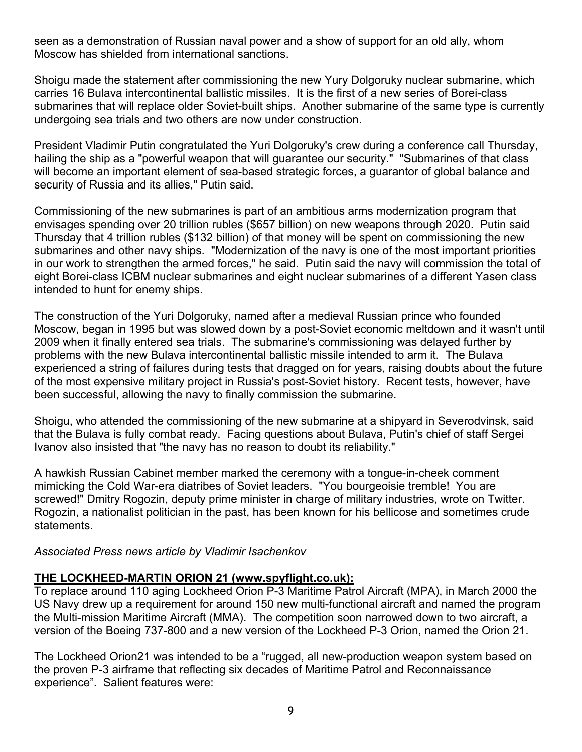seen as a demonstration of Russian naval power and a show of support for an old ally, whom Moscow has shielded from international sanctions.

Shoigu made the statement after commissioning the new Yury Dolgoruky nuclear submarine, which carries 16 Bulava intercontinental ballistic missiles. It is the first of a new series of Borei-class submarines that will replace older Soviet-built ships. Another submarine of the same type is currently undergoing sea trials and two others are now under construction.

President Vladimir Putin congratulated the Yuri Dolgoruky's crew during a conference call Thursday, hailing the ship as a "powerful weapon that will quarantee our security." "Submarines of that class will become an important element of sea-based strategic forces, a guarantor of global balance and security of Russia and its allies," Putin said.

Commissioning of the new submarines is part of an ambitious arms modernization program that envisages spending over 20 trillion rubles (\$657 billion) on new weapons through 2020. Putin said Thursday that 4 trillion rubles (\$132 billion) of that money will be spent on commissioning the new submarines and other navy ships. "Modernization of the navy is one of the most important priorities in our work to strengthen the armed forces," he said. Putin said the navy will commission the total of eight Borei-class ICBM nuclear submarines and eight nuclear submarines of a different Yasen class intended to hunt for enemy ships.

The construction of the Yuri Dolgoruky, named after a medieval Russian prince who founded Moscow, began in 1995 but was slowed down by a post-Soviet economic meltdown and it wasn't until 2009 when it finally entered sea trials. The submarine's commissioning was delayed further by problems with the new Bulava intercontinental ballistic missile intended to arm it. The Bulava experienced a string of failures during tests that dragged on for years, raising doubts about the future of the most expensive military project in Russia's post-Soviet history. Recent tests, however, have been successful, allowing the navy to finally commission the submarine.

Shoigu, who attended the commissioning of the new submarine at a shipyard in Severodvinsk, said that the Bulava is fully combat ready. Facing questions about Bulava, Putin's chief of staff Sergei Ivanov also insisted that "the navy has no reason to doubt its reliability."

A hawkish Russian Cabinet member marked the ceremony with a tongue-in-cheek comment mimicking the Cold War-era diatribes of Soviet leaders. "You bourgeoisie tremble! You are screwed!" Dmitry Rogozin, deputy prime minister in charge of military industries, wrote on Twitter. Rogozin, a nationalist politician in the past, has been known for his bellicose and sometimes crude statements.

*Associated Press news article by Vladimir Isachenkov* 

#### **THE LOCKHEED-MARTIN ORION 21 (www.spyflight.co.uk):**

To replace around 110 aging Lockheed Orion P-3 Maritime Patrol Aircraft (MPA), in March 2000 the US Navy drew up a requirement for around 150 new multi-functional aircraft and named the program the Multi-mission Maritime Aircraft (MMA). The competition soon narrowed down to two aircraft, a version of the Boeing 737-800 and a new version of the Lockheed P-3 Orion, named the Orion 21.

The Lockheed Orion21 was intended to be a "rugged, all new-production weapon system based on the proven P-3 airframe that reflecting six decades of Maritime Patrol and Reconnaissance experience". Salient features were: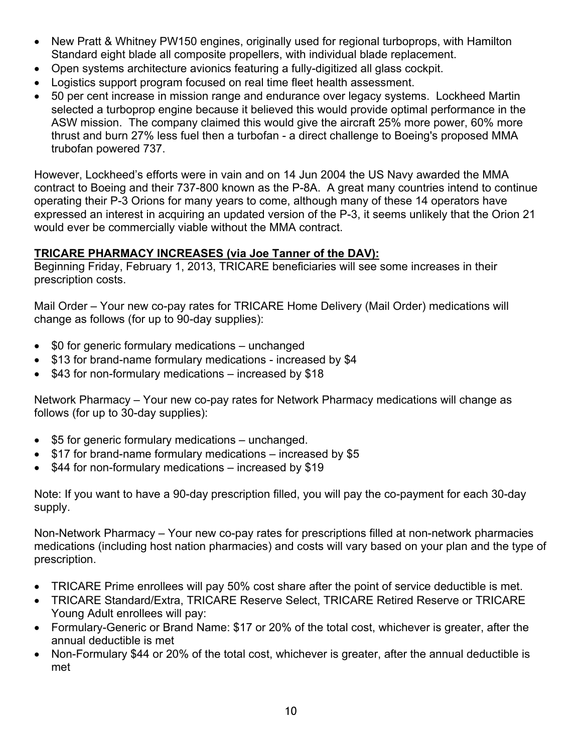- New Pratt & Whitney PW150 engines, originally used for regional turboprops, with Hamilton Standard eight blade all composite propellers, with individual blade replacement.
- Open systems architecture avionics featuring a fully-digitized all glass cockpit.
- Logistics support program focused on real time fleet health assessment.
- 50 per cent increase in mission range and endurance over legacy systems. Lockheed Martin selected a turboprop engine because it believed this would provide optimal performance in the ASW mission. The company claimed this would give the aircraft 25% more power, 60% more thrust and burn 27% less fuel then a turbofan - a direct challenge to Boeing's proposed MMA trubofan powered 737.

However, Lockheed's efforts were in vain and on 14 Jun 2004 the US Navy awarded the MMA contract to Boeing and their 737-800 known as the P-8A. A great many countries intend to continue operating their P-3 Orions for many years to come, although many of these 14 operators have expressed an interest in acquiring an updated version of the P-3, it seems unlikely that the Orion 21 would ever be commercially viable without the MMA contract.

#### **TRICARE PHARMACY INCREASES (via Joe Tanner of the DAV):**

Beginning Friday, February 1, 2013, TRICARE beneficiaries will see some increases in their prescription costs.

Mail Order – Your new co-pay rates for TRICARE Home Delivery (Mail Order) medications will change as follows (for up to 90-day supplies):

- \$0 for generic formulary medications unchanged
- \$13 for brand-name formulary medications increased by \$4
- \$43 for non-formulary medications increased by \$18

Network Pharmacy – Your new co-pay rates for Network Pharmacy medications will change as follows (for up to 30-day supplies):

- \$5 for generic formulary medications unchanged.
- \$17 for brand-name formulary medications increased by \$5
- \$44 for non-formulary medications increased by \$19

Note: If you want to have a 90-day prescription filled, you will pay the co-payment for each 30-day supply.

Non-Network Pharmacy – Your new co-pay rates for prescriptions filled at non-network pharmacies medications (including host nation pharmacies) and costs will vary based on your plan and the type of prescription.

- TRICARE Prime enrollees will pay 50% cost share after the point of service deductible is met.
- TRICARE Standard/Extra, TRICARE Reserve Select, TRICARE Retired Reserve or TRICARE Young Adult enrollees will pay:
- Formulary-Generic or Brand Name: \$17 or 20% of the total cost, whichever is greater, after the annual deductible is met
- Non-Formulary \$44 or 20% of the total cost, whichever is greater, after the annual deductible is met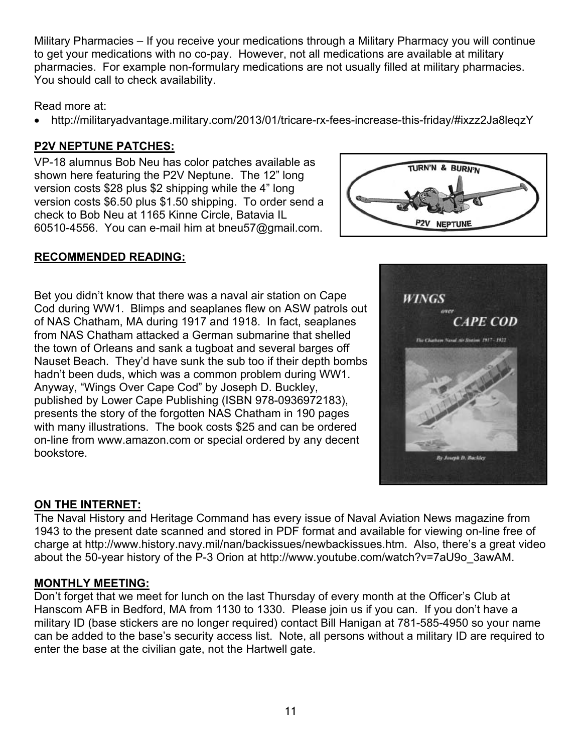Military Pharmacies – If you receive your medications through a Military Pharmacy you will continue to get your medications with no co-pay. However, not all medications are available at military pharmacies. For example non-formulary medications are not usually filled at military pharmacies. You should call to check availability.

#### Read more at:

• http://militaryadvantage.military.com/2013/01/tricare-rx-fees-increase-this-friday/#ixzz2Ja8leqzY

# **P2V NEPTUNE PATCHES:**

VP-18 alumnus Bob Neu has color patches available as shown here featuring the P2V Neptune. The 12" long version costs \$28 plus \$2 shipping while the 4" long version costs \$6.50 plus \$1.50 shipping. To order send a check to Bob Neu at 1165 Kinne Circle, Batavia IL 60510-4556. You can e-mail him at bneu57@gmail.com.

# TURN'N & BURN'N P2V NEPTUNE

### **RECOMMENDED READING:**

Bet you didn't know that there was a naval air station on Cape Cod during WW1. Blimps and seaplanes flew on ASW patrols out of NAS Chatham, MA during 1917 and 1918. In fact, seaplanes from NAS Chatham attacked a German submarine that shelled the town of Orleans and sank a tugboat and several barges off Nauset Beach. They'd have sunk the sub too if their depth bombs hadn't been duds, which was a common problem during WW1. Anyway, "Wings Over Cape Cod" by Joseph D. Buckley, published by Lower Cape Publishing (ISBN 978-0936972183), presents the story of the forgotten NAS Chatham in 190 pages with many illustrations. The book costs \$25 and can be ordered on-line from www.amazon.com or special ordered by any decent bookstore.

### **ON THE INTERNET:**

The Naval History and Heritage Command has every issue of Naval Aviation News magazine from 1943 to the present date scanned and stored in PDF format and available for viewing on-line free of charge at http://www.history.navy.mil/nan/backissues/newbackissues.htm. Also, there's a great video about the 50-year history of the P-3 Orion at http://www.youtube.com/watch?v=7aU9o\_3awAM.

#### **MONTHLY MEETING:**

Don't forget that we meet for lunch on the last Thursday of every month at the Officer's Club at Hanscom AFB in Bedford, MA from 1130 to 1330. Please join us if you can. If you don't have a military ID (base stickers are no longer required) contact Bill Hanigan at 781-585-4950 so your name can be added to the base's security access list. Note, all persons without a military ID are required to enter the base at the civilian gate, not the Hartwell gate.

11